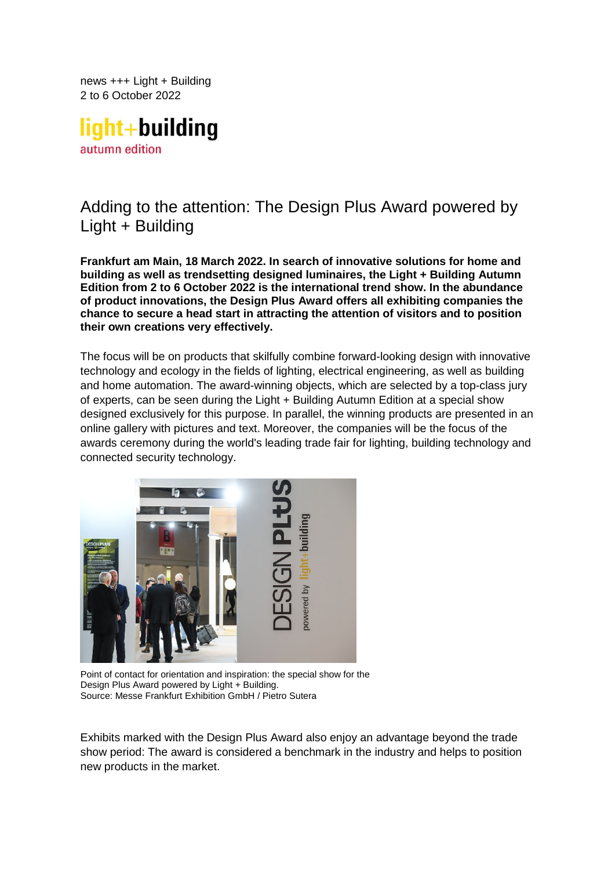news +++ Light + Building 2 to 6 October 2022

light+building autumn edition

## Adding to the attention: The Design Plus Award powered by Light + Building

**Frankfurt am Main, 18 March 2022. In search of innovative solutions for home and building as well as trendsetting designed luminaires, the Light + Building Autumn Edition from 2 to 6 October 2022 is the international trend show. In the abundance of product innovations, the Design Plus Award offers all exhibiting companies the chance to secure a head start in attracting the attention of visitors and to position their own creations very effectively.** 

The focus will be on products that skilfully combine forward-looking design with innovative technology and ecology in the fields of lighting, electrical engineering, as well as building and home automation. The award-winning objects, which are selected by a top-class jury of experts, can be seen during the Light + Building Autumn Edition at a special show designed exclusively for this purpose. In parallel, the winning products are presented in an online gallery with pictures and text. Moreover, the companies will be the focus of the awards ceremony during the world's leading trade fair for lighting, building technology and connected security technology.



Point of contact for orientation and inspiration: the special show for the Design Plus Award powered by Light + Building. Source: Messe Frankfurt Exhibition GmbH / Pietro Sutera

Exhibits marked with the Design Plus Award also enjoy an advantage beyond the trade show period: The award is considered a benchmark in the industry and helps to position new products in the market.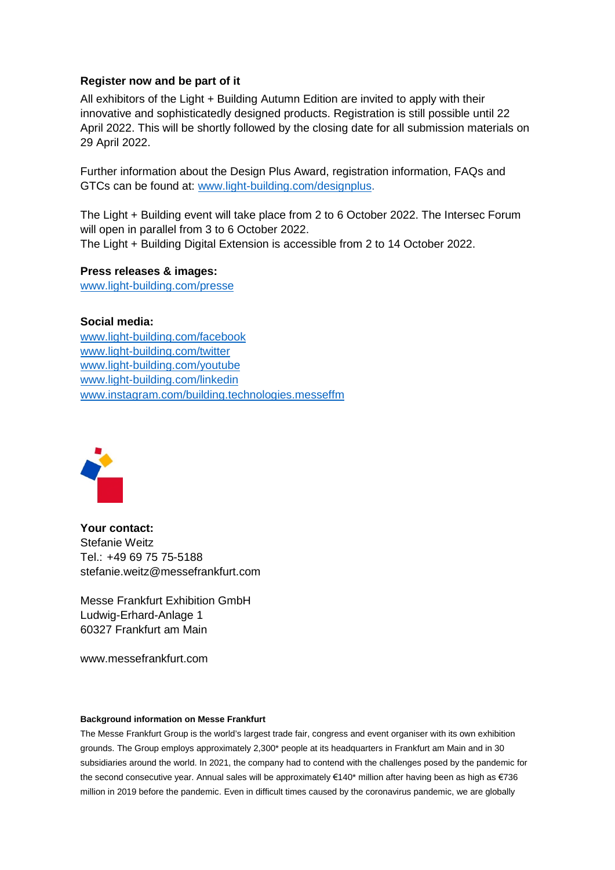## **Register now and be part of it**

All exhibitors of the Light + Building Autumn Edition are invited to apply with their innovative and sophisticatedly designed products. Registration is still possible until 22 April 2022. This will be shortly followed by the closing date for all submission materials on 29 April 2022.

Further information about the Design Plus Award, registration information, FAQs and GTCs can be found at: [www.light-building.com/designplus.](http://www.light-building.com/designplus)

The Light + Building event will take place from 2 to 6 October 2022. The Intersec Forum will open in parallel from 3 to 6 October 2022. The Light + Building Digital Extension is accessible from 2 to 14 October 2022.

## **Press releases & images:**

[www.light-building.com/presse](http://www.light-building.com/presse) 

**Social media:**  [www.light-building.com/facebook](http://www.light-building.com/facebook) [www.light-building.com/twitter](http://www.light-building.com/twitter) [www.light-building.com/youtube](http://www.light-building.com/youtube) [www.light-building.com/linkedin](http://www.light-building.com/linkedin)  [www.instagram.com/building.technologies.messeffm](http://www.instagram.com/building.technologies.messeffm)



**Your contact:**  Stefanie Weitz Tel.: +49 69 75 75-5188 stefanie.weitz@messefrankfurt.com

Messe Frankfurt Exhibition GmbH Ludwig-Erhard-Anlage 1 60327 Frankfurt am Main

www.messefrankfurt.com

## **Background information on Messe Frankfurt**

The Messe Frankfurt Group is the world's largest trade fair, congress and event organiser with its own exhibition grounds. The Group employs approximately 2,300\* people at its headquarters in Frankfurt am Main and in 30 subsidiaries around the world. In 2021, the company had to contend with the challenges posed by the pandemic for the second consecutive year. Annual sales will be approximately €140\* million after having been as high as €736 million in 2019 before the pandemic. Even in difficult times caused by the coronavirus pandemic, we are globally